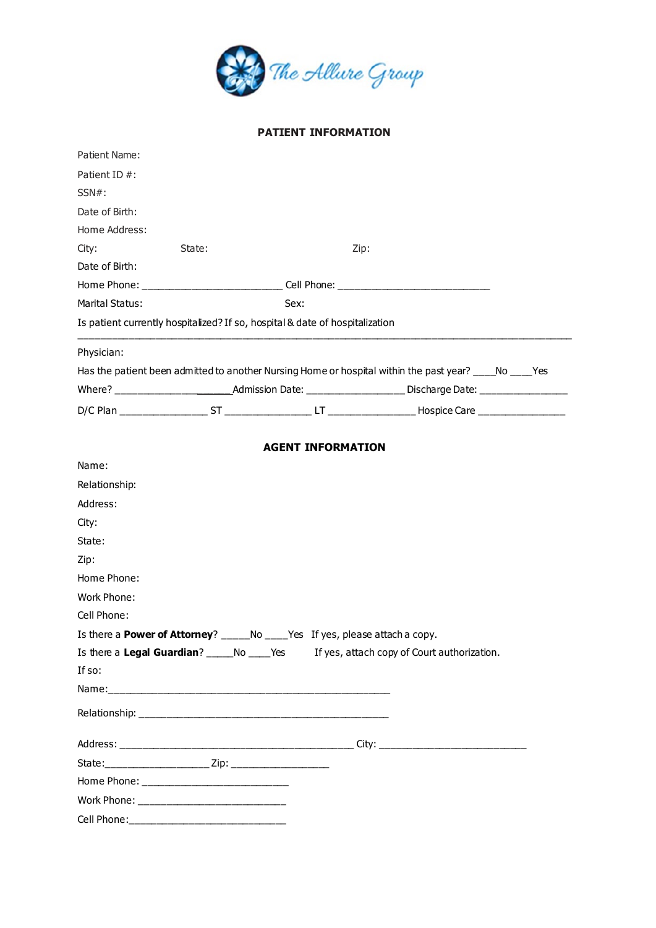

# **PATIENT INFORMATION**

| Patient Name:                                  |        |                                                                                                        |                                             |  |
|------------------------------------------------|--------|--------------------------------------------------------------------------------------------------------|---------------------------------------------|--|
| Patient ID #:                                  |        |                                                                                                        |                                             |  |
| $SSN#$ :                                       |        |                                                                                                        |                                             |  |
| Date of Birth:                                 |        |                                                                                                        |                                             |  |
| Home Address:                                  |        |                                                                                                        |                                             |  |
| City:                                          | State: | Zip:                                                                                                   |                                             |  |
| Date of Birth:                                 |        |                                                                                                        |                                             |  |
|                                                |        | Home Phone: __________________________________Cell Phone: _______________________                      |                                             |  |
| <b>Marital Status:</b>                         |        | Sex:                                                                                                   |                                             |  |
|                                                |        | Is patient currently hospitalized? If so, hospital & date of hospitalization                           |                                             |  |
| Physician:                                     |        |                                                                                                        |                                             |  |
|                                                |        | Has the patient been admitted to another Nursing Home or hospital within the past year? ____No ____Yes |                                             |  |
|                                                |        |                                                                                                        |                                             |  |
|                                                |        |                                                                                                        |                                             |  |
|                                                |        |                                                                                                        |                                             |  |
|                                                |        | <b>AGENT INFORMATION</b>                                                                               |                                             |  |
| Name:                                          |        |                                                                                                        |                                             |  |
| Relationship:                                  |        |                                                                                                        |                                             |  |
| Address:                                       |        |                                                                                                        |                                             |  |
| City:                                          |        |                                                                                                        |                                             |  |
| State:                                         |        |                                                                                                        |                                             |  |
| Zip:                                           |        |                                                                                                        |                                             |  |
| Home Phone:                                    |        |                                                                                                        |                                             |  |
| Work Phone:                                    |        |                                                                                                        |                                             |  |
| Cell Phone:                                    |        |                                                                                                        |                                             |  |
|                                                |        | Is there a <b>Power of Attorney</b> ? ______ No _____ Yes If yes, please attach a copy.                |                                             |  |
| Is there a Legal Guardian? ______ No _____ Yes |        |                                                                                                        | If yes, attach copy of Court authorization. |  |
| If so:                                         |        |                                                                                                        |                                             |  |
|                                                |        |                                                                                                        |                                             |  |
|                                                |        |                                                                                                        |                                             |  |
|                                                |        |                                                                                                        |                                             |  |
|                                                |        |                                                                                                        |                                             |  |
|                                                |        |                                                                                                        |                                             |  |
|                                                |        |                                                                                                        |                                             |  |
|                                                |        |                                                                                                        |                                             |  |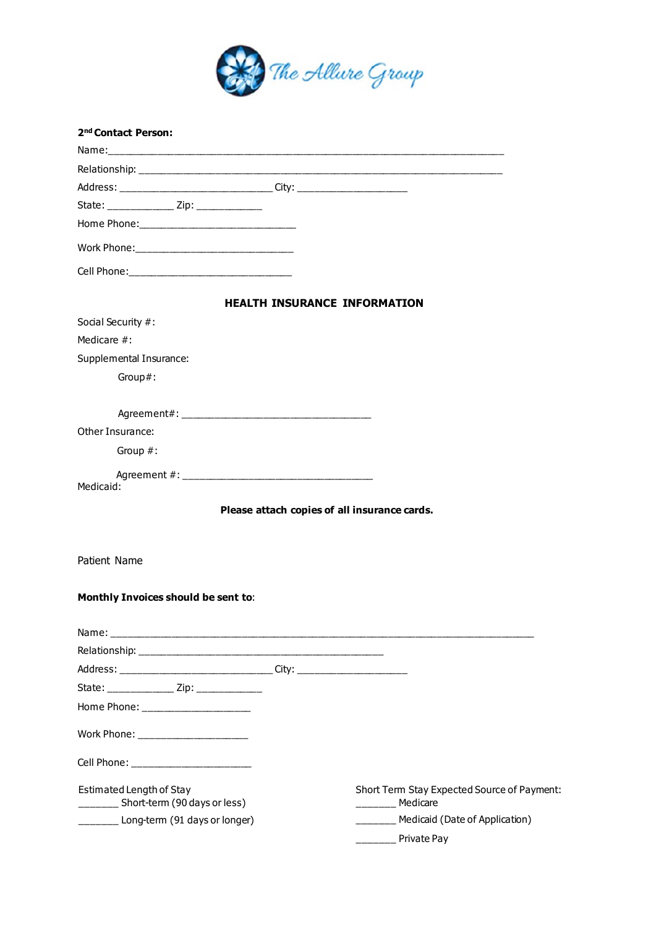

| 2 <sup>nd</sup> Contact Person:                                                  |                                              |
|----------------------------------------------------------------------------------|----------------------------------------------|
|                                                                                  |                                              |
|                                                                                  |                                              |
| Address: _________________________________City: ________________________________ |                                              |
| State: _______________ Zip: _____________                                        |                                              |
|                                                                                  |                                              |
|                                                                                  |                                              |
|                                                                                  |                                              |
|                                                                                  | <b>HEALTH INSURANCE INFORMATION</b>          |
| Social Security #:                                                               |                                              |
| Medicare #:                                                                      |                                              |
| Supplemental Insurance:                                                          |                                              |
| Group#:                                                                          |                                              |
|                                                                                  |                                              |
|                                                                                  |                                              |
| Other Insurance:                                                                 |                                              |
| Group #:                                                                         |                                              |
|                                                                                  |                                              |
| Medicaid:                                                                        |                                              |
|                                                                                  | Please attach copies of all insurance cards. |
|                                                                                  |                                              |
| Patient Name                                                                     |                                              |
| Monthly Invoices should be sent to:                                              |                                              |
|                                                                                  |                                              |
|                                                                                  |                                              |
|                                                                                  |                                              |
|                                                                                  |                                              |
| State: _______________ Zip: ______________                                       |                                              |
| Home Phone: ____________________                                                 |                                              |
| Work Phone: ______________________                                               |                                              |
| Cell Phone: ________________________                                             |                                              |
| Estimated Length of Stay                                                         | Short Term Stay Expected Source of Payment:  |
| ________ Short-term (90 days or less)                                            | Medicare                                     |
| _______ Long-term (91 days or longer)                                            | ______ Medicaid (Date of Application)        |
|                                                                                  | <b>No. Private Pay</b>                       |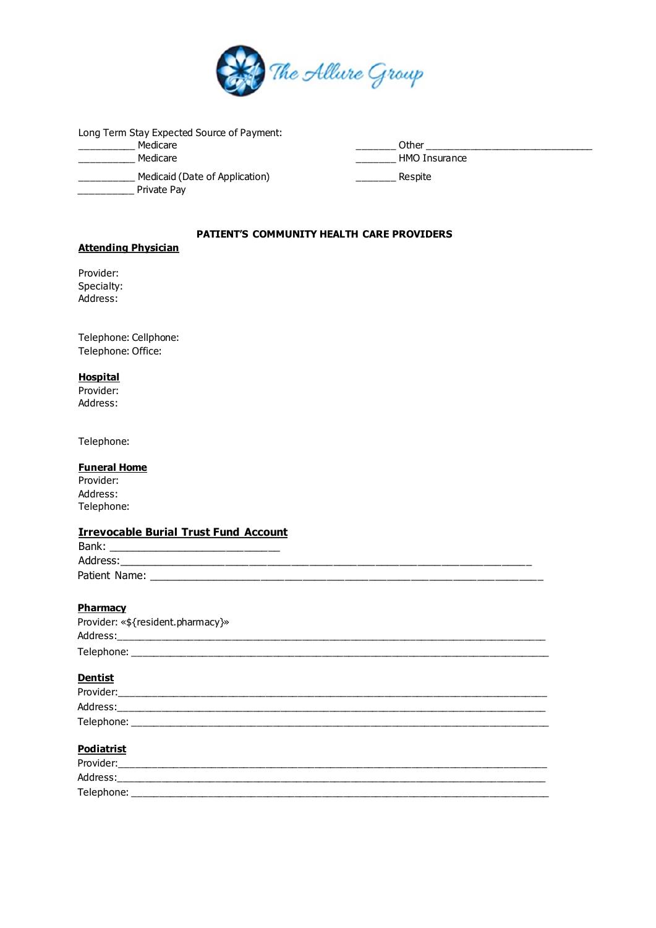

Long Term Stay Expected Source of Payment: \_\_\_\_\_\_\_\_\_\_ Medicare \_\_\_\_\_\_\_ Other \_\_\_\_\_\_\_\_\_\_\_\_\_\_\_\_\_\_\_\_\_\_\_\_\_\_\_\_\_\_\_ \_\_\_\_\_\_\_\_\_\_ Medicaid (Date of Application) \_\_\_\_\_\_\_ Respite \_\_\_\_\_\_\_\_\_\_ Private Pay

\_\_\_\_\_\_\_\_\_ HMO Insurance

## **PATIENT'S COMMUNITY HEALTH CARE PROVIDERS**

# **Attending Physician**

Provider: Specialty: Address:

Telephone: Cellphone: Telephone: Office:

### **Hospital**

Provider: Address:

Telephone:

### **Funeral Home**

| Provider:  |  |
|------------|--|
| Address:   |  |
| Telephone: |  |

# **Irrevocable Burial Trust Fund Account**

| Bank:         |  |  |
|---------------|--|--|
| Address:      |  |  |
| Patient Name: |  |  |

# **Pharmacy**

| Provider: «\${resident.pharmacy}» |
|-----------------------------------|
| Address:                          |
| Telephone:                        |

# **Dentist**

| Provider:  |
|------------|
| Address:   |
| Telephone: |

### **Podiatrist**

| Provider:  |  |
|------------|--|
| Address:   |  |
| Telephone: |  |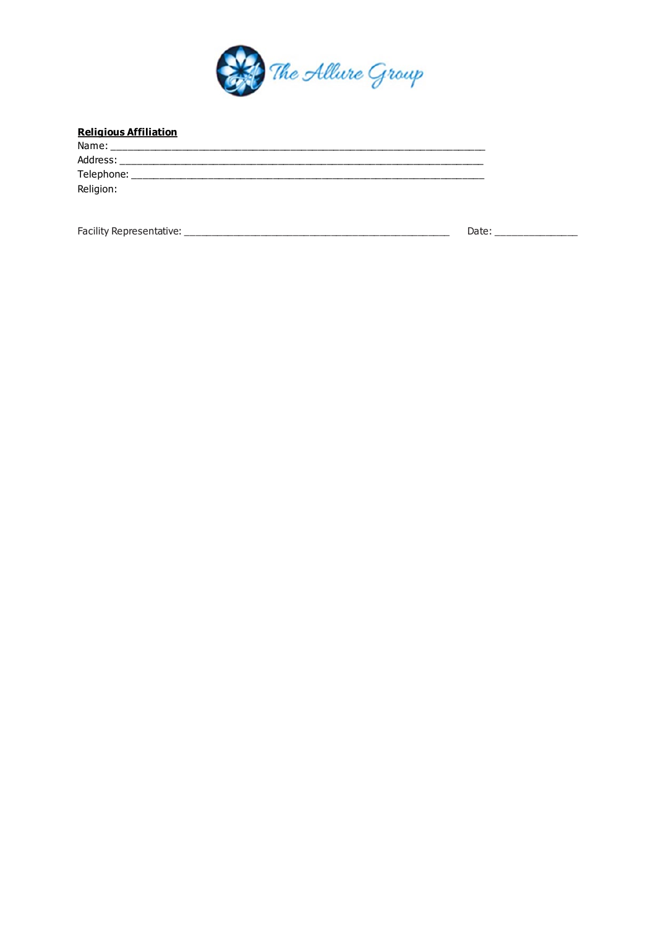

# **Religious Affiliation**

| Name:      |  |  |  |
|------------|--|--|--|
| Address:   |  |  |  |
| Telephone: |  |  |  |
| Religion:  |  |  |  |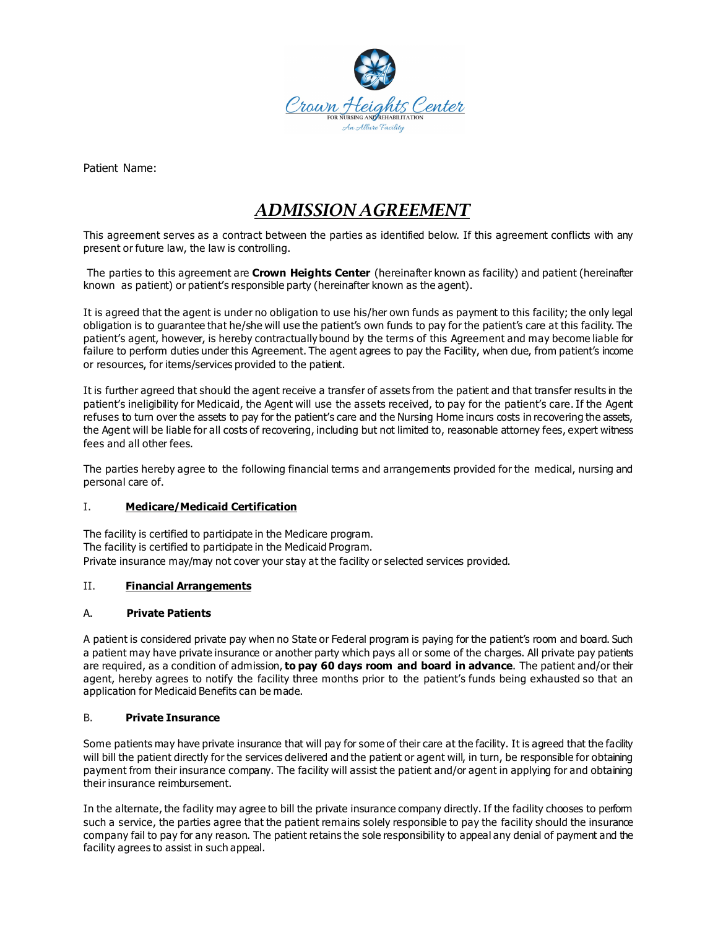

Patient Name:

# *ADMISSION AGREEMENT*

This agreement serves as a contract between the parties as identified below. If this agreement conflicts with any present or future law, the law is controlling.

The parties to this agreement are **Crown Heights Center** (hereinafter known as facility) and patient (hereinafter known as patient) or patient's responsible party (hereinafter known as the agent).

It is agreed that the agent is under no obligation to use his/her own funds as payment to this facility; the only legal obligation is to guarantee that he/she will use the patient's own funds to pay for the patient's care at this facility. The patient's agent, however, is hereby contractually bound by the terms of this Agreement and may become liable for failure to perform duties under this Agreement. The agent agrees to pay the Facility, when due, from patient's income or resources, for items/services provided to the patient.

It is further agreed that should the agent receive a transfer of assets from the patient and that transfer results in the patient's ineligibility for Medicaid, the Agent will use the assets received, to pay for the patient's care. If the Agent refuses to turn over the assets to pay for the patient's care and the Nursing Home incurs costs in recovering the assets, the Agent will be liable for all costs of recovering, including but not limited to, reasonable attorney fees, expert witness fees and all other fees.

The parties hereby agree to the following financial terms and arrangements provided for the medical, nursing and personal care of.

### I. **Medicare/Medicaid Certification**

The facility is certified to participate in the Medicare program. The facility is certified to participate in the Medicaid Program. Private insurance may/may not cover your stay at the facility or selected services provided.

### II. **Financial Arrangements**

### A. **Private Patients**

A patient is considered private pay when no State or Federal program is paying for the patient's room and board. Such a patient may have private insurance or another party which pays all or some of the charges. All private pay patients are required, as a condition of admission, **to pay 60 days room and board in advance**. The patient and/or their agent, hereby agrees to notify the facility three months prior to the patient's funds being exhausted so that an application for Medicaid Benefits can be made.

### B. **Private Insurance**

Some patients may have private insurance that will pay for some of their care at the facility. It is agreed that the facility will bill the patient directly for the services delivered and the patient or agent will, in turn, be responsible for obtaining payment from their insurance company. The facility will assist the patient and/or agent in applying for and obtaining their insurance reimbursement.

In the alternate, the facility may agree to bill the private insurance company directly. If the facility chooses to perform such a service, the parties agree that the patient remains solely responsible to pay the facility should the insurance company fail to pay for any reason. The patient retains the sole responsibility to appeal any denial of payment and the facility agrees to assist in such appeal.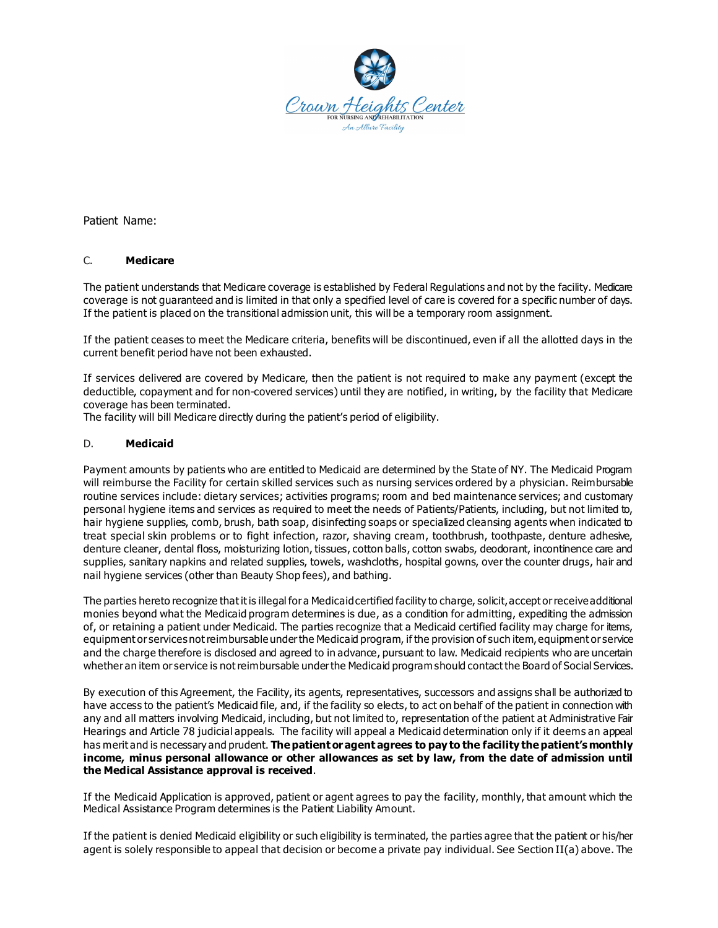

Patient Name:

### C. **Medicare**

The patient understands that Medicare coverage is established by Federal Regulations and not by the facility. Medicare coverage is not guaranteed and is limited in that only a specified level of care is covered for a specific number of days. If the patient is placed on the transitional admission unit, this will be a temporary room assignment.

If the patient ceases to meet the Medicare criteria, benefits will be discontinued, even if all the allotted days in the current benefit period have not been exhausted.

If services delivered are covered by Medicare, then the patient is not required to make any payment (except the deductible, copayment and for non-covered services) until they are notified, in writing, by the facility that Medicare coverage has been terminated.

The facility will bill Medicare directly during the patient's period of eligibility.

### D. **Medicaid**

Payment amounts by patients who are entitled to Medicaid are determined by the State of NY. The Medicaid Program will reimburse the Facility for certain skilled services such as nursing services ordered by a physician. Reimbursable routine services include: dietary services; activities programs; room and bed maintenance services; and customary personal hygiene items and services as required to meet the needs of Patients/Patients, including, but not limited to, hair hygiene supplies, comb, brush, bath soap, disinfecting soaps or specialized cleansing agents when indicated to treat special skin problems or to fight infection, razor, shaving cream, toothbrush, toothpaste, denture adhesive, denture cleaner, dental floss, moisturizing lotion, tissues, cotton balls, cotton swabs, deodorant, incontinence care and supplies, sanitary napkins and related supplies, towels, washcloths, hospital gowns, over the counter drugs, hair and nail hygiene services (other than Beauty Shop fees), and bathing.

The parties hereto recognize that it is illegal for a Medicaid certified facility to charge, solicit, accept or receive additional monies beyond what the Medicaid program determines is due, as a condition for admitting, expediting the admission of, or retaining a patient under Medicaid. The parties recognize that a Medicaid certified facility may charge for items, equipment or services not reimbursable under the Medicaid program, if the provision of such item, equipment or service and the charge therefore is disclosed and agreed to in advance, pursuant to law. Medicaid recipients who are uncertain whether an item or service is not reimbursable under the Medicaid program should contact the Board of Social Services.

By execution of this Agreement, the Facility, its agents, representatives, successors and assigns shall be authorized to have access to the patient's Medicaid file, and, if the facility so elects, to act on behalf of the patient in connection with any and all matters involving Medicaid, including, but not limited to, representation of the patient at Administrative Fair Hearings and Article 78 judicial appeals. The facility will appeal a Medicaid determination only if it deems an appeal has merit and is necessary and prudent. **The patient or agent agrees to pay to the facility the patient's monthly income, minus personal allowance or other allowances as set by law, from the date of admission until the Medical Assistance approval is received**.

If the Medicaid Application is approved, patient or agent agrees to pay the facility, monthly, that amount which the Medical Assistance Program determines is the Patient Liability Amount.

If the patient is denied Medicaid eligibility or such eligibility is terminated, the parties agree that the patient or his/her agent is solely responsible to appeal that decision or become a private pay individual. See Section II(a) above. The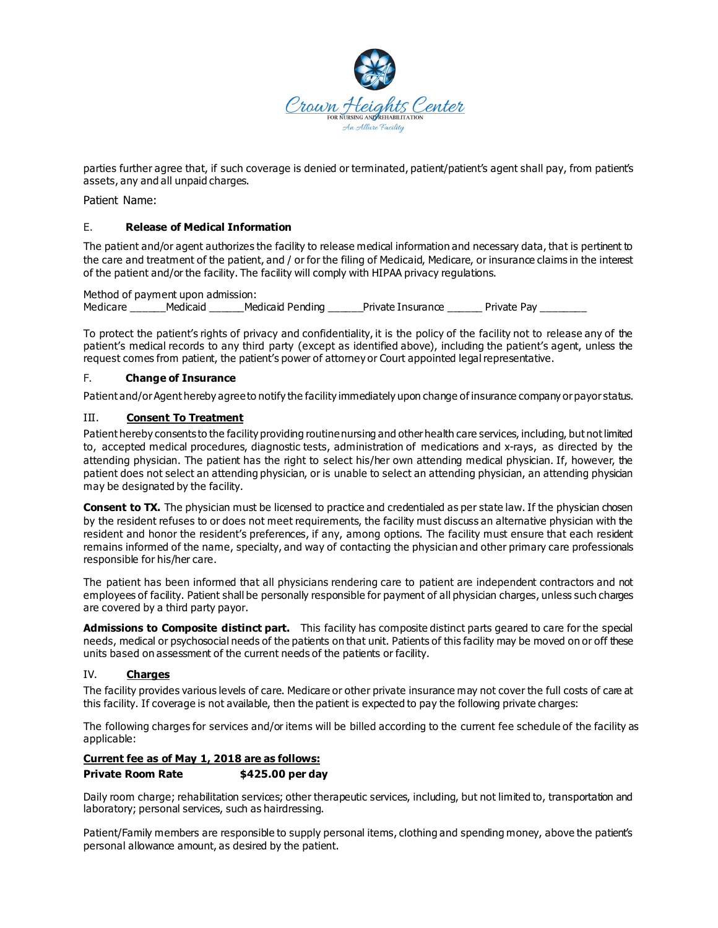

parties further agree that, if such coverage is denied or terminated, patient/patient's agent shall pay, from patient's assets, any and all unpaid charges.

Patient Name:

### E. **Release of Medical Information**

The patient and/or agent authorizes the facility to release medical information and necessary data, that is pertinent to the care and treatment of the patient, and / or for the filing of Medicaid, Medicare, or insurance claims in the interest of the patient and/or the facility. The facility will comply with HIPAA privacy regulations.

Method of payment upon admission: Medicare \_\_\_\_\_\_Medicaid \_\_\_\_\_\_Medicaid Pending \_\_\_\_\_\_Private Insurance \_\_\_\_\_\_ Private Pay \_\_\_\_\_\_

To protect the patient's rights of privacy and confidentiality, it is the policy of the facility not to release any of the patient's medical records to any third party (except as identified above), including the patient's agent, unless the request comes from patient, the patient's power of attorney or Court appointed legal representative.

### F. **Change of Insurance**

Patient and/or Agent hereby agree to notify the facility immediately upon change of insurance company or payor status.

### III. **Consent To Treatment**

Patient hereby consents to the facility providing routine nursing and other health care services, including, but not limited to, accepted medical procedures, diagnostic tests, administration of medications and x-rays, as directed by the attending physician. The patient has the right to select his/her own attending medical physician. If, however, the patient does not select an attending physician, or is unable to select an attending physician, an attending physician may be designated by the facility.

**Consent to TX.** The physician must be licensed to practice and credentialed as per state law. If the physician chosen by the resident refuses to or does not meet requirements, the facility must discuss an alternative physician with the resident and honor the resident's preferences, if any, among options. The facility must ensure that each resident remains informed of the name, specialty, and way of contacting the physician and other primary care professionals responsible for his/her care.

The patient has been informed that all physicians rendering care to patient are independent contractors and not employees of facility. Patient shall be personally responsible for payment of all physician charges, unless such charges are covered by a third party payor.

**Admissions to Composite distinct part.** This facility has composite distinct parts geared to care for the special needs, medical or psychosocial needs of the patients on that unit. Patients of this facility may be moved on or off these units based on assessment of the current needs of the patients or facility.

### IV. **Charges**

The facility provides various levels of care. Medicare or other private insurance may not cover the full costs of care at this facility. If coverage is not available, then the patient is expected to pay the following private charges:

The following charges for services and/or items will be billed according to the current fee schedule of the facility as applicable:

### **Current fee as of May 1, 2018 are as follows:**

### **Private Room Rate \$425.00 per day**

Daily room charge; rehabilitation services; other therapeutic services, including, but not limited to, transportation and laboratory; personal services, such as hairdressing.

Patient/Family members are responsible to supply personal items, clothing and spending money, above the patient's personal allowance amount, as desired by the patient.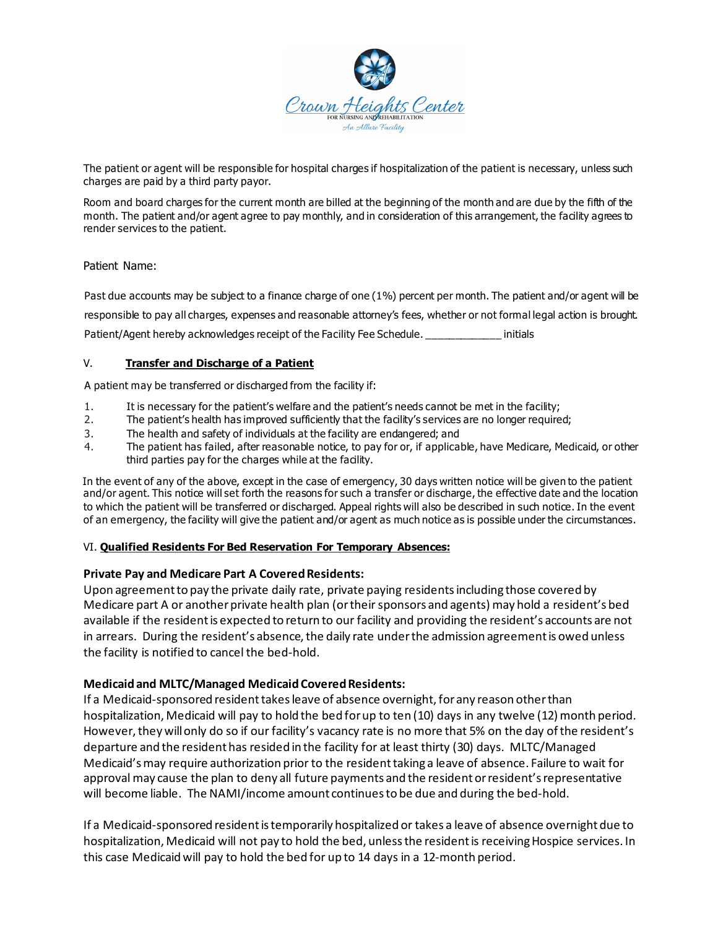

The patient or agent will be responsible for hospital charges if hospitalization of the patient is necessary, unless such charges are paid by a third party payor.

Room and board charges for the current month are billed at the beginning of the month and are due by the fifth of the month. The patient and/or agent agree to pay monthly, and in consideration of this arrangement, the facility agrees to render services to the patient.

### Patient Name:

Past due accounts may be subject to a finance charge of one (1%) percent per month. The patient and/or agent will be responsible to pay all charges, expenses and reasonable attorney's fees, whether or not formal legal action is brought. Patient/Agent hereby acknowledges receipt of the Facility Fee Schedule. \_\_\_\_\_\_\_\_\_\_\_\_\_ initials

### V. **Transfer and Discharge of a Patient**

A patient may be transferred or discharged from the facility if:

- 1. It is necessary for the patient's welfare and the patient's needs cannot be met in the facility;
- 2. The patient's health has improved sufficiently that the facility's services are no longer required;
- 3. The health and safety of individuals at the facility are endangered; and
- 4. The patient has failed, after reasonable notice, to pay for or, if applicable, have Medicare, Medicaid, or other third parties pay for the charges while at the facility.

In the event of any of the above, except in the case of emergency, 30 days written notice will be given to the patient and/or agent. This notice will set forth the reasons for such a transfer or discharge, the effective date and the location to which the patient will be transferred or discharged. Appeal rights will also be described in such notice. In the event of an emergency, the facility will give the patient and/or agent as much notice as is possible under the circumstances.

### VI. **Qualified Residents For Bed Reservation For Temporary Absences:**

# **Private Pay and Medicare Part A Covered Residents:**

Upon agreement to pay the private daily rate, private paying residents including those covered by Medicare part A or another private health plan (or their sponsors and agents) may hold a resident's bed available if the resident is expected to return to our facility and providing the resident's accounts are not in arrears. During the resident's absence, the daily rate under the admission agreement is owed unless the facility is notified to cancel the bed-hold.

# **Medicaid and MLTC/Managed Medicaid Covered Residents:**

If a Medicaid-sponsored resident takes leave of absence overnight, for any reason other than hospitalization, Medicaid will pay to hold the bed for up to ten (10) days in any twelve (12) month period. However, they will only do so if our facility's vacancy rate is no more that 5% on the day of the resident's departure and the resident has resided in the facility for at least thirty (30) days. MLTC/Managed Medicaid's may require authorization prior to the resident taking a leave of absence. Failure to wait for approval may cause the plan to deny all future payments and the resident or resident's representative will become liable. The NAMI/income amount continues to be due and during the bed-hold.

If a Medicaid-sponsored resident is temporarily hospitalized or takes a leave of absence overnight due to hospitalization, Medicaid will not pay to hold the bed, unless the resident is receiving Hospice services. In this case Medicaid will pay to hold the bed for up to 14 days in a 12-month period.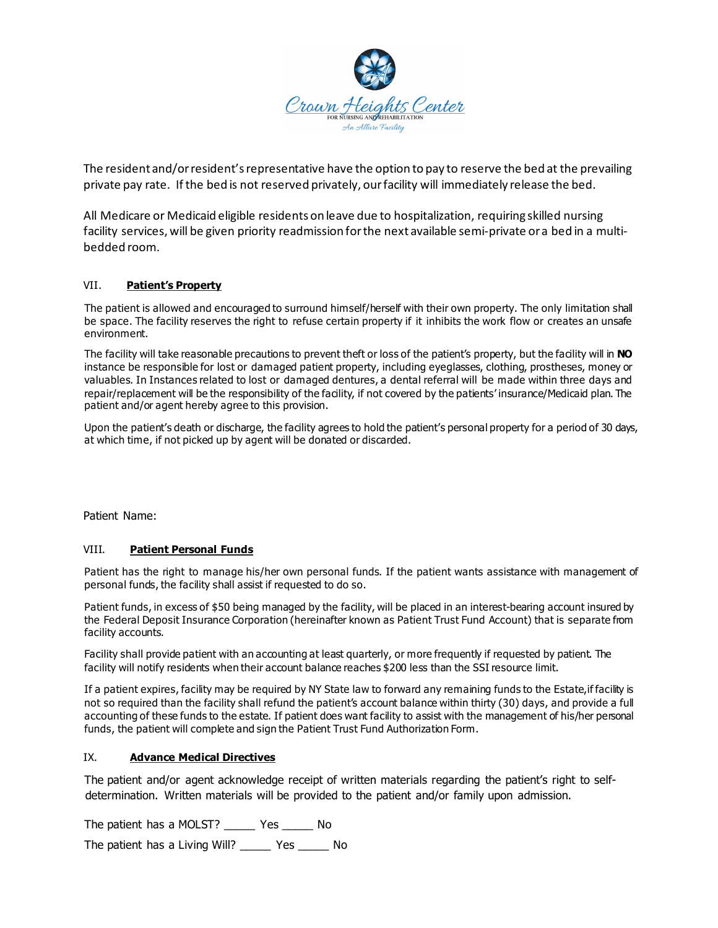

The resident and/or resident's representative have the option to pay to reserve the bed at the prevailing private pay rate. If the bed is not reserved privately, our facility will immediately release the bed.

All Medicare or Medicaid eligible residents on leave due to hospitalization, requiring skilled nursing facility services, will be given priority readmission for the next available semi-private or a bed in a multibedded room.

### VII. **Patient's Property**

The patient is allowed and encouraged to surround himself/herself with their own property. The only limitation shall be space. The facility reserves the right to refuse certain property if it inhibits the work flow or creates an unsafe environment.

The facility will take reasonable precautions to prevent theft or loss of the patient's property, but the facility will in **NO**  instance be responsible for lost or damaged patient property, including eyeglasses, clothing, prostheses, money or valuables. In Instances related to lost or damaged dentures, a dental referral will be made within three days and repair/replacement will be the responsibility of the facility, if not covered by the patients' insurance/Medicaid plan. The patient and/or agent hereby agree to this provision.

Upon the patient's death or discharge, the facility agrees to hold the patient's personal property for a period of 30 days, at which time, if not picked up by agent will be donated or discarded.

Patient Name:

### VIII. **Patient Personal Funds**

Patient has the right to manage his/her own personal funds. If the patient wants assistance with management of personal funds, the facility shall assist if requested to do so.

Patient funds, in excess of \$50 being managed by the facility, will be placed in an interest-bearing account insured by the Federal Deposit Insurance Corporation (hereinafter known as Patient Trust Fund Account) that is separate from facility accounts.

Facility shall provide patient with an accounting at least quarterly, or more frequently if requested by patient. The facility will notify residents when their account balance reaches \$200 less than the SSI resource limit.

If a patient expires, facility may be required by NY State law to forward any remaining funds to the Estate,if facility is not so required than the facility shall refund the patient's account balance within thirty (30) days, and provide a full accounting of these funds to the estate. If patient does want facility to assist with the management of his/her personal funds, the patient will complete and sign the Patient Trust Fund Authorization Form.

### IX. **Advance Medical Directives**

The patient and/or agent acknowledge receipt of written materials regarding the patient's right to selfdetermination. Written materials will be provided to the patient and/or family upon admission.

The patient has a MOLST? \_\_\_\_\_ Yes \_\_\_\_\_ No

The patient has a Living Will? \_\_\_\_\_ Yes \_\_\_\_\_ No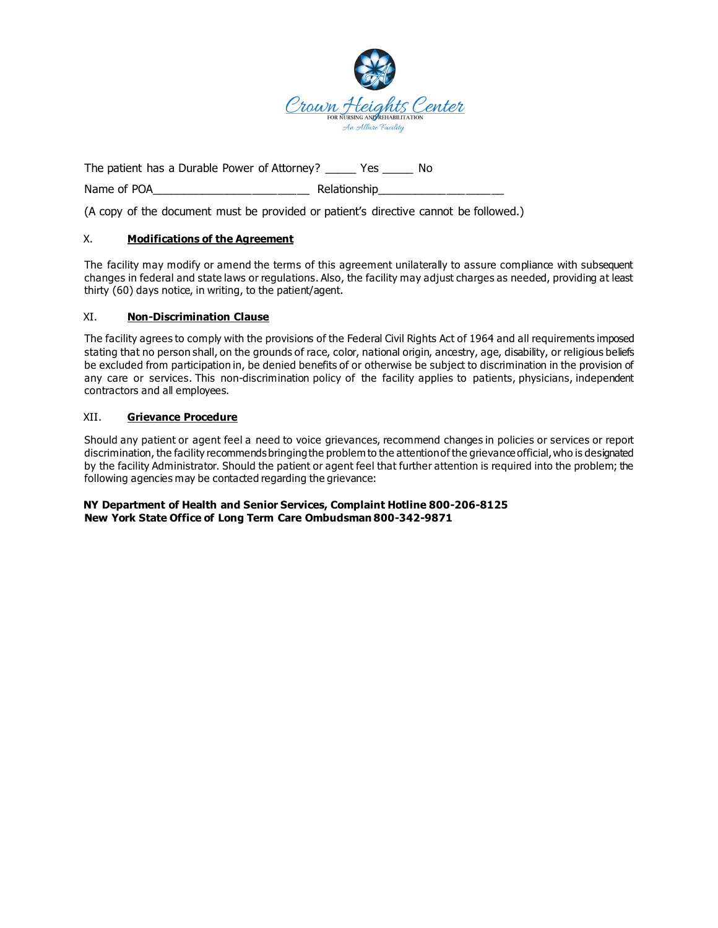

The patient has a Durable Power of Attorney? \_\_\_\_\_ Yes \_\_\_\_\_ No

Name of POA and the set of the Relationship

(A copy of the document must be provided or patient's directive cannot be followed.)

## X. **Modifications of the Agreement**

The facility may modify or amend the terms of this agreement unilaterally to assure compliance with subsequent changes in federal and state laws or regulations. Also, the facility may adjust charges as needed, providing at least thirty (60) days notice, in writing, to the patient/agent.

### XI. **Non-Discrimination Clause**

The facility agrees to comply with the provisions of the Federal Civil Rights Act of 1964 and all requirements imposed stating that no person shall, on the grounds of race, color, national origin, ancestry, age, disability, or religious beliefs be excluded from participation in, be denied benefits of or otherwise be subject to discrimination in the provision of any care or services. This non-discrimination policy of the facility applies to patients, physicians, independent contractors and all employees.

### XII. **Grievance Procedure**

Should any patient or agent feel a need to voice grievances, recommend changes in policies or services or report discrimination, the facility recommends bringing the problem to the attention of the grievance official, who is designated by the facility Administrator. Should the patient or agent feel that further attention is required into the problem; the following agencies may be contacted regarding the grievance:

### **NY Department of Health and Senior Services, Complaint Hotline 800-206-8125 New York State Office of Long Term Care Ombudsman 800-342-9871**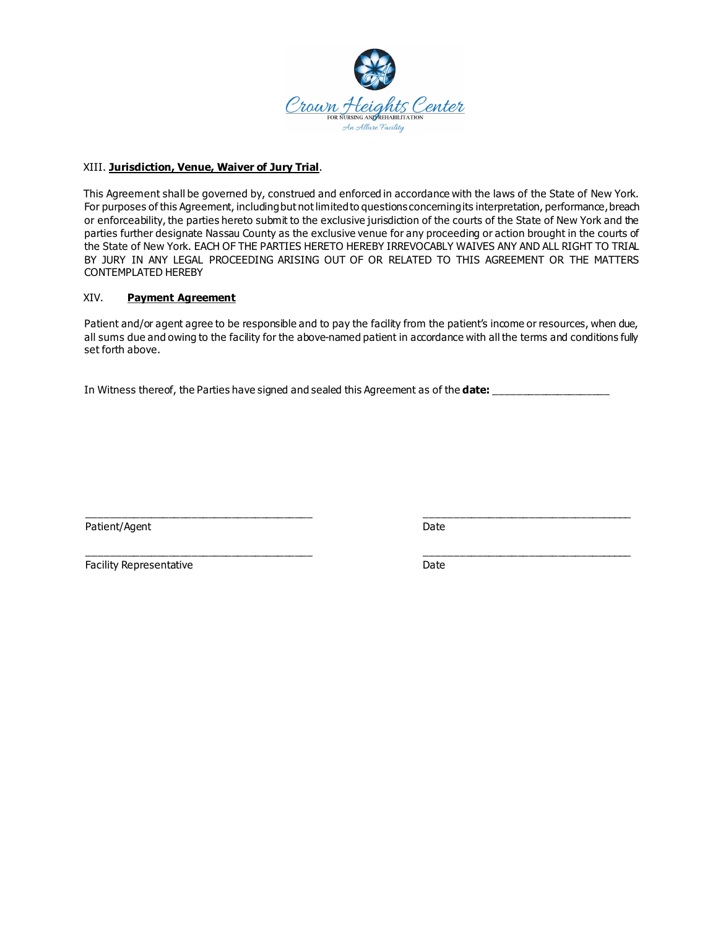

### XIII. **Jurisdiction, Venue, Waiver of Jury Trial**.

This Agreement shall be governed by, construed and enforced in accordance with the laws of the State of New York. For purposes of this Agreement, including but not limited to questions concerning its interpretation, performance, breach or enforceability, the parties hereto submit to the exclusive jurisdiction of the courts of the State of New York and the parties further designate Nassau County as the exclusive venue for any proceeding or action brought in the courts of the State of New York. EACH OF THE PARTIES HERETO HEREBY IRREVOCABLY WAIVES ANY AND ALL RIGHT TO TRIAL BY JURY IN ANY LEGAL PROCEEDING ARISING OUT OF OR RELATED TO THIS AGREEMENT OR THE MATTERS CONTEMPLATED HEREBY

### XIV. **Payment Agreement**

Patient and/or agent agree to be responsible and to pay the facility from the patient's income or resources, when due, all sums due and owing to the facility for the above-named patient in accordance with all the terms and conditions fully set forth above.

In Witness thereof, the Parties have signed and sealed this Agreement as of the **date:** 

Patient/Agent Date

\_\_\_\_\_\_\_\_\_\_\_\_\_\_\_\_\_\_\_\_\_\_\_\_\_\_\_\_\_\_\_\_\_\_\_\_\_\_\_ \_\_\_\_\_\_\_\_\_\_\_\_\_\_\_\_\_\_\_\_\_\_\_\_\_\_\_\_\_\_\_\_\_\_\_\_

\_\_\_\_\_\_\_\_\_\_\_\_\_\_\_\_\_\_\_\_\_\_\_\_\_\_\_\_\_\_\_\_\_\_\_\_\_\_\_ \_\_\_\_\_\_\_\_\_\_\_\_\_\_\_\_\_\_\_\_\_\_\_\_\_\_\_\_\_\_\_\_\_\_\_\_ Facility Representative **Date** Date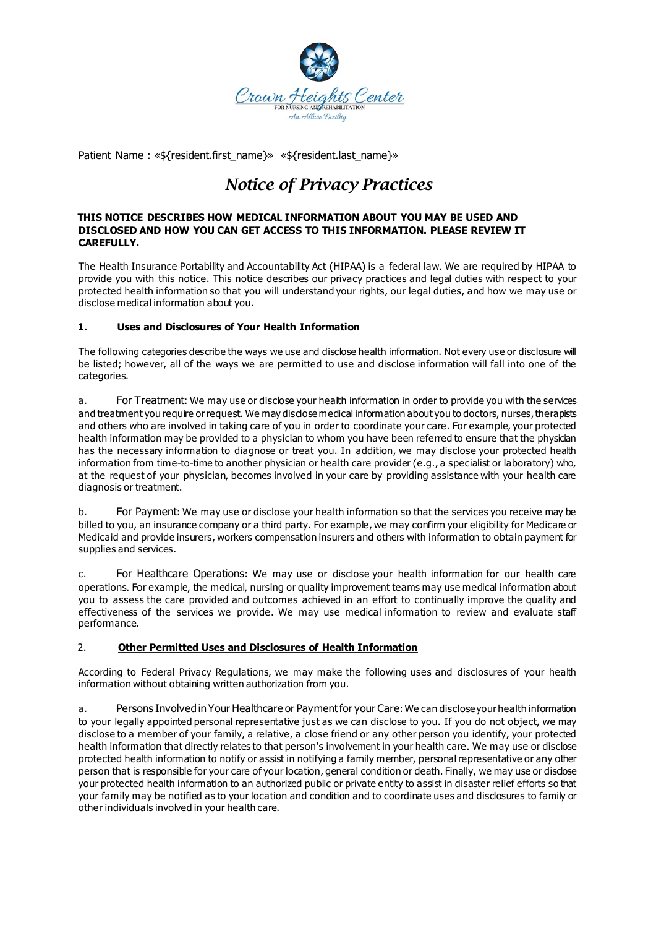

Patient Name : «\${resident.first\_name}» «\${resident.last\_name}»

# *Notice of Privacy Practices*

### **THIS NOTICE DESCRIBES HOW MEDICAL INFORMATION ABOUT YOU MAY BE USED AND DISCLOSED AND HOW YOU CAN GET ACCESS TO THIS INFORMATION. PLEASE REVIEW IT CAREFULLY.**

The Health Insurance Portability and Accountability Act (HIPAA) is a federal law. We are required by HIPAA to provide you with this notice. This notice describes our privacy practices and legal duties with respect to your protected health information so that you will understand your rights, our legal duties, and how we may use or disclose medical information about you.

## **1. Uses and Disclosures of Your Health Information**

The following categories describe the ways we use and disclose health information. Not every use or disclosure will be listed; however, all of the ways we are permitted to use and disclose information will fall into one of the categories.

a. For Treatment: We may use or disclose your health information in order to provide you with the services and treatment you require or request. We may disclose medical information about you to doctors, nurses, therapists and others who are involved in taking care of you in order to coordinate your care. For example, your protected health information may be provided to a physician to whom you have been referred to ensure that the physician has the necessary information to diagnose or treat you. In addition, we may disclose your protected health information from time-to-time to another physician or health care provider (e.g., a specialist or laboratory) who, at the request of your physician, becomes involved in your care by providing assistance with your health care diagnosis or treatment.

b. For Payment: We may use or disclose your health information so that the services you receive may be billed to you, an insurance company or a third party. For example, we may confirm your eligibility for Medicare or Medicaid and provide insurers, workers compensation insurers and others with information to obtain payment for supplies and services.

c. For Healthcare Operations: We may use or disclose your health information for our health care operations. For example, the medical, nursing or quality improvement teams may use medical information about you to assess the care provided and outcomes achieved in an effort to continually improve the quality and effectiveness of the services we provide. We may use medical information to review and evaluate staff performance.

## 2. **Other Permitted Uses and Disclosures of Health Information**

According to Federal Privacy Regulations, we may make the following uses and disclosures of your health information without obtaining written authorization from you.

a. Persons Involved in Your Healthcare or Payment for your Care: We can disclose your health information to your legally appointed personal representative just as we can disclose to you. If you do not object, we may disclose to a member of your family, a relative, a close friend or any other person you identify, your protected health information that directly relates to that person's involvement in your health care. We may use or disclose protected health information to notify or assist in notifying a family member, personal representative or any other person that is responsible for your care of your location, general condition or death. Finally, we may use or disclose your protected health information to an authorized public or private entity to assist in disaster relief efforts so that your family may be notified as to your location and condition and to coordinate uses and disclosures to family or other individuals involved in your health care.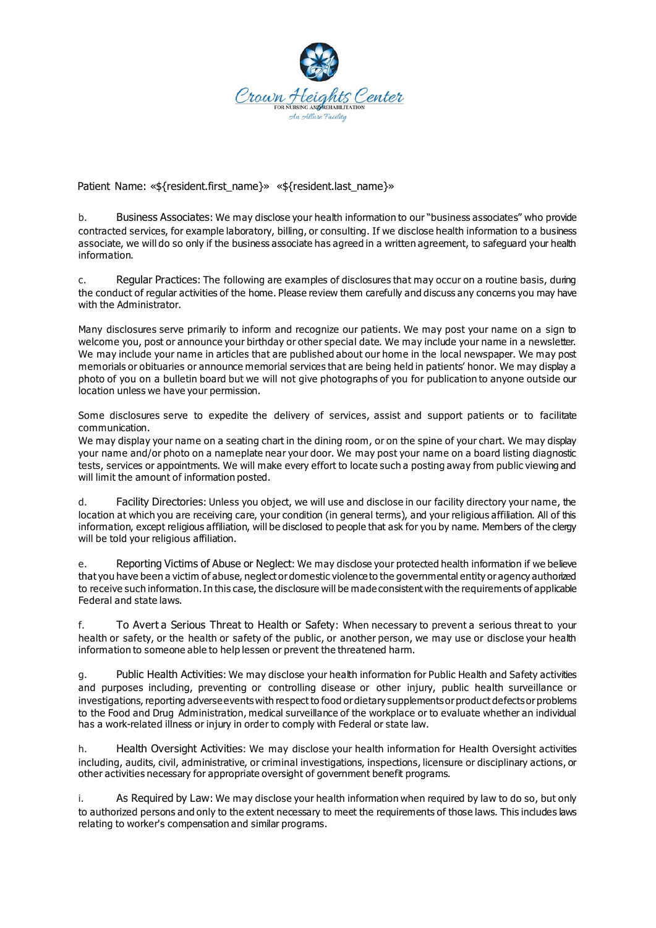

Patient Name: «\${resident.first\_name}» «\${resident.last\_name}»

b. Business Associates: We may disclose your health information to our "business associates" who provide contracted services, for example laboratory, billing, or consulting. If we disclose health information to a business associate, we will do so only if the business associate has agreed in a written agreement, to safeguard your health information.

c. Regular Practices: The following are examples of disclosures that may occur on a routine basis, during the conduct of regular activities of the home. Please review them carefully and discuss any concerns you may have with the Administrator.

Many disclosures serve primarily to inform and recognize our patients. We may post your name on a sign to welcome you, post or announce your birthday or other special date. We may include your name in a newsletter. We may include your name in articles that are published about our home in the local newspaper. We may post memorials or obituaries or announce memorial services that are being held in patients' honor. We may display a photo of you on a bulletin board but we will not give photographs of you for publication to anyone outside our location unless we have your permission.

Some disclosures serve to expedite the delivery of services, assist and support patients or to facilitate communication.

We may display your name on a seating chart in the dining room, or on the spine of your chart. We may display your name and/or photo on a nameplate near your door. We may post your name on a board listing diagnostic tests, services or appointments. We will make every effort to locate such a posting away from public viewing and will limit the amount of information posted.

d. Facility Directories: Unless you object, we will use and disclose in our facility directory your name, the location at which you are receiving care, your condition (in general terms), and your religious affiliation. All of this information, except religious affiliation, will be disclosed to people that ask for you by name. Members of the clergy will be told your religious affiliation.

e. Reporting Victims of Abuse or Neglect: We may disclose your protected health information if we believe that you have been a victim of abuse, neglect or domestic violence to the governmental entity or agency authorized to receive such information. In this case, the disclosure will be made consistent with the requirements of applicable Federal and state laws.

f. To Avert a Serious Threat to Health or Safety: When necessary to prevent a serious threat to your health or safety, or the health or safety of the public, or another person, we may use or disclose your health information to someone able to help lessen or prevent the threatened harm.

g. Public Health Activities: We may disclose your health information for Public Health and Safety activities and purposes including, preventing or controlling disease or other injury, public health surveillance or investigations, reporting adverse events with respect to food or dietary supplements or product defects or problems to the Food and Drug Administration, medical surveillance of the workplace or to evaluate whether an individual has a work-related illness or injury in order to comply with Federal or state law.

h. Health Oversight Activities: We may disclose your health information for Health Oversight activities including, audits, civil, administrative, or criminal investigations, inspections, licensure or disciplinary actions, or other activities necessary for appropriate oversight of government benefit programs.

i. As Required by Law: We may disclose your health information when required by law to do so, but only to authorized persons and only to the extent necessary to meet the requirements of those laws. This includes laws relating to worker's compensation and similar programs.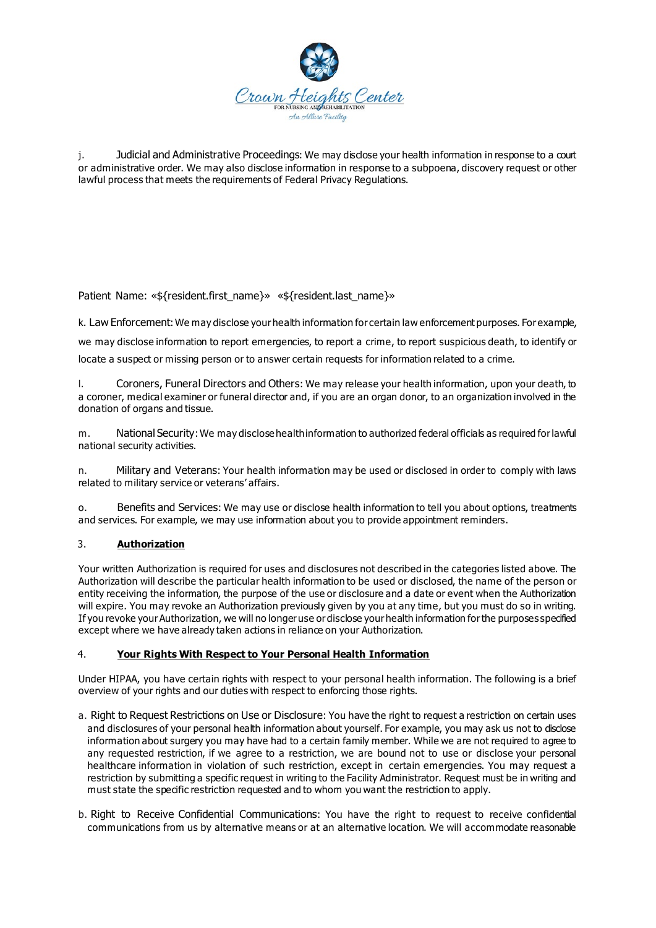

j. Judicial and Administrative Proceedings: We may disclose your health information in response to a court or administrative order. We may also disclose information in response to a subpoena, discovery request or other lawful process that meets the requirements of Federal Privacy Regulations.

Patient Name: «\${resident.first\_name}» «\${resident.last\_name}»

k. Law Enforcement: We may disclose your health information for certain law enforcement purposes. For example,

we may disclose information to report emergencies, to report a crime, to report suspicious death, to identify or locate a suspect or missing person or to answer certain requests for information related to a crime.

l. Coroners, Funeral Directors and Others: We may release your health information, upon your death, to a coroner, medical examiner or funeral director and, if you are an organ donor, to an organization involved in the donation of organs and tissue.

m. National Security: We may disclose health information to authorized federal officials as required for lawful national security activities.

n. Military and Veterans: Your health information may be used or disclosed in order to comply with laws related to military service or veterans' affairs.

o. Benefits and Services: We may use or disclose health information to tell you about options, treatments and services. For example, we may use information about you to provide appointment reminders.

## 3. **Authorization**

Your written Authorization is required for uses and disclosures not described in the categories listed above. The Authorization will describe the particular health information to be used or disclosed, the name of the person or entity receiving the information, the purpose of the use or disclosure and a date or event when the Authorization will expire. You may revoke an Authorization previously given by you at any time, but you must do so in writing. If you revoke your Authorization, we will no longer use or disclose your health information for the purposes specified except where we have already taken actions in reliance on your Authorization.

## 4. **Your Rights With Respect to Your Personal Health Information**

Under HIPAA, you have certain rights with respect to your personal health information. The following is a brief overview of your rights and our duties with respect to enforcing those rights.

- a. Right to Request Restrictions on Use or Disclosure: You have the right to request a restriction on certain uses and disclosures of your personal health information about yourself. For example, you may ask us not to disclose information about surgery you may have had to a certain family member. While we are not required to agree to any requested restriction, if we agree to a restriction, we are bound not to use or disclose your personal healthcare information in violation of such restriction, except in certain emergencies. You may request a restriction by submitting a specific request in writing to the Facility Administrator. Request must be in writing and must state the specific restriction requested and to whom you want the restriction to apply.
- b. Right to Receive Confidential Communications: You have the right to request to receive confidential communications from us by alternative means or at an alternative location. We will accommodate reasonable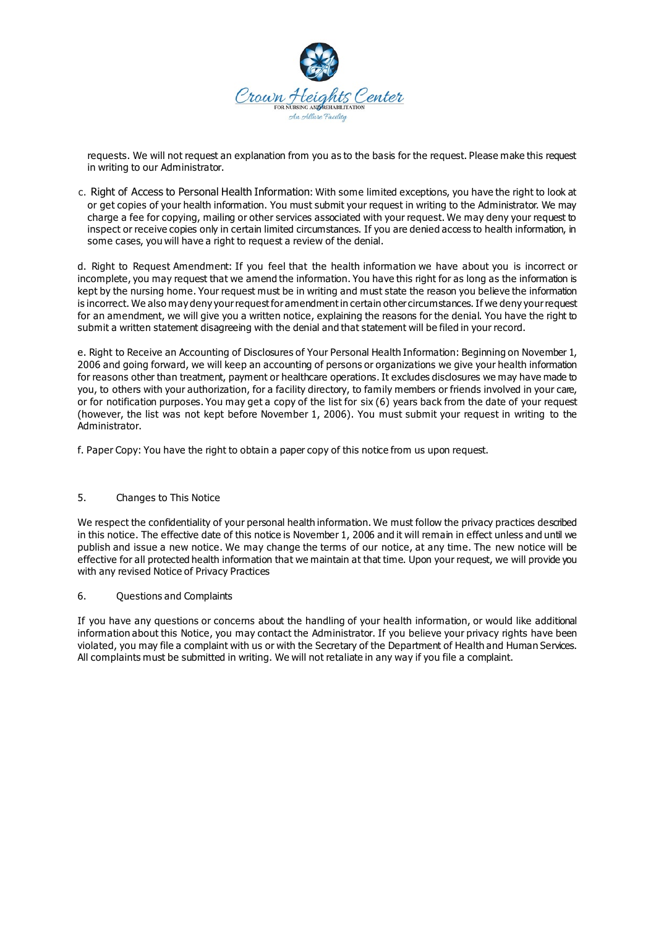

requests. We will not request an explanation from you as to the basis for the request. Please make this request in writing to our Administrator.

c. Right of Access to Personal Health Information: With some limited exceptions, you have the right to look at or get copies of your health information. You must submit your request in writing to the Administrator. We may charge a fee for copying, mailing or other services associated with your request. We may deny your request to inspect or receive copies only in certain limited circumstances. If you are denied access to health information, in some cases, you will have a right to request a review of the denial.

d. Right to Request Amendment: If you feel that the health information we have about you is incorrect or incomplete, you may request that we amend the information. You have this right for as long as the information is kept by the nursing home. Your request must be in writing and must state the reason you believe the information is incorrect. We also may deny your request for amendment in certain other circumstances. If we deny your request for an amendment, we will give you a written notice, explaining the reasons for the denial. You have the right to submit a written statement disagreeing with the denial and that statement will be filed in your record.

e. Right to Receive an Accounting of Disclosures of Your Personal Health Information: Beginning on November 1, 2006 and going forward, we will keep an accounting of persons or organizations we give your health information for reasons other than treatment, payment or healthcare operations. It excludes disclosures we may have made to you, to others with your authorization, for a facility directory, to family members or friends involved in your care, or for notification purposes. You may get a copy of the list for six (6) years back from the date of your request (however, the list was not kept before November 1, 2006). You must submit your request in writing to the Administrator.

f. Paper Copy: You have the right to obtain a paper copy of this notice from us upon request.

## 5. Changes to This Notice

We respect the confidentiality of your personal health information. We must follow the privacy practices described in this notice. The effective date of this notice is November 1, 2006 and it will remain in effect unless and until we publish and issue a new notice. We may change the terms of our notice, at any time. The new notice will be effective for all protected health information that we maintain at that time. Upon your request, we will provide you with any revised Notice of Privacy Practices

### 6. Questions and Complaints

If you have any questions or concerns about the handling of your health information, or would like additional information about this Notice, you may contact the Administrator. If you believe your privacy rights have been violated, you may file a complaint with us or with the Secretary of the Department of Health and Human Services. All complaints must be submitted in writing. We will not retaliate in any way if you file a complaint.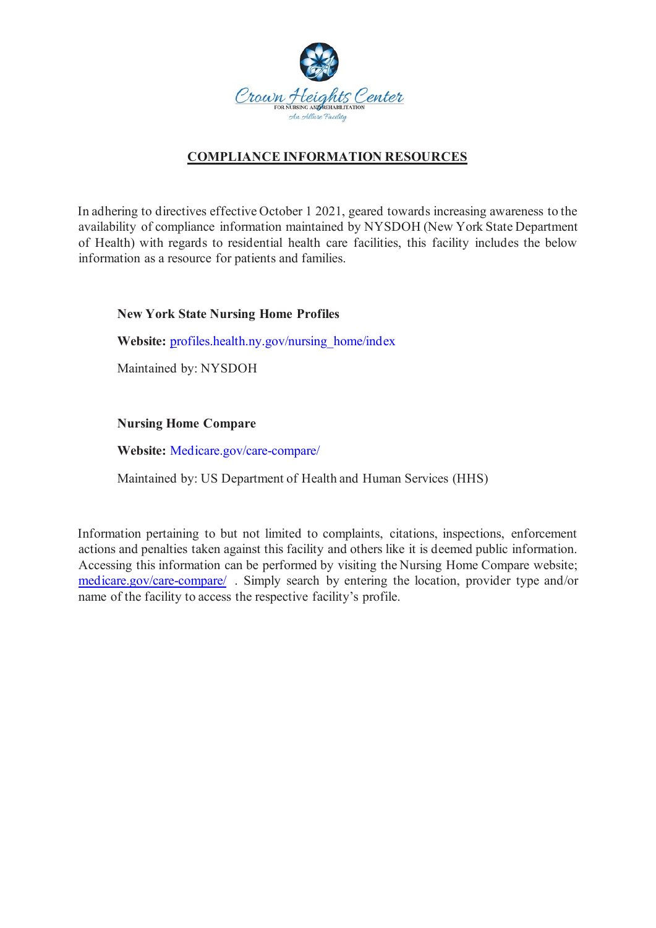

# **COMPLIANCE INFORMATION RESOURCES**

In adhering to directives effective October 1 2021, geared towards increasing awareness to the availability of compliance information maintained by NYSDOH (New York State Department of Health) with regards to residential health care facilities, this facility includes the below information as a resource for patients and families.

# **New York State Nursing Home Profiles**

Website: profiles.health.ny.gov/nursing\_home/index

Maintained by: NYSDOH

# **Nursing Home Compare**

**Website:** Medicare.gov/care-compare/

Maintained by: US Department of Health and Human Services (HHS)

Information pertaining to but not limited to complaints, citations, inspections, enforcement actions and penalties taken against this facility and others like it is deemed public information. Accessing this information can be performed by visiting the Nursing Home Compare website; medicare.gov/care-compare/ . Simply search by entering the location, provider type and/or name of the facility to access the respective facility's profile.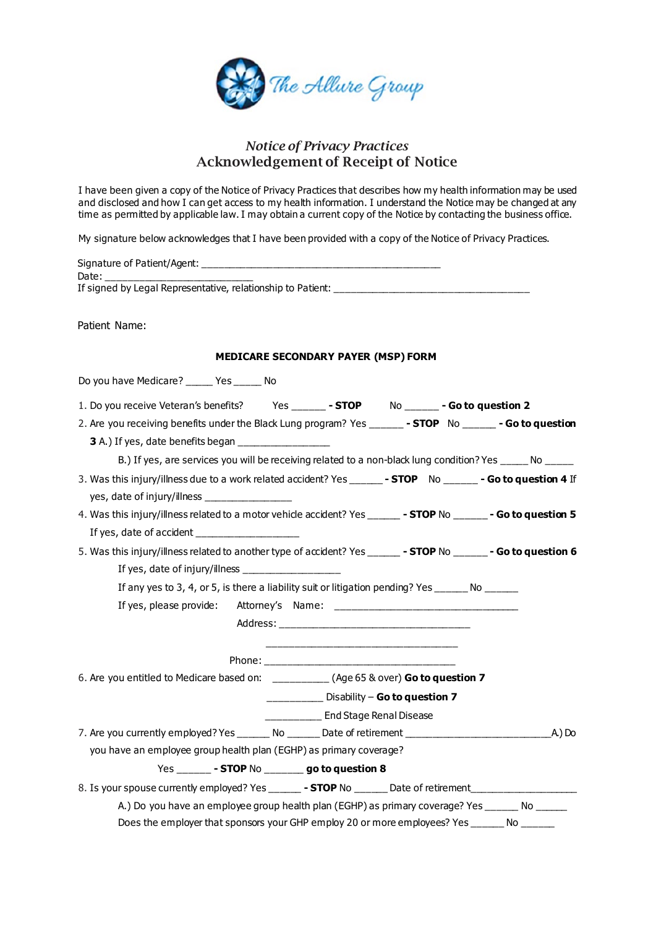

# *Notice of Privacy Practices*  Acknowledgement of Receipt of Notice

I have been given a copy of the Notice of Privacy Practices that describes how my health information may be used and disclosed and how I can get access to my health information. I understand the Notice may be changed at any time as permitted by applicable law. I may obtain a current copy of the Notice by contacting the business office.

My signature below acknowledges that I have been provided with a copy of the Notice of Privacy Practices.

| Signature of Patient/Agent:                                 |  |
|-------------------------------------------------------------|--|
| Date:                                                       |  |
| If signed by Legal Representative, relationship to Patient: |  |
|                                                             |  |

Patient Name:

### **MEDICARE SECONDARY PAYER (MSP) FORM**

| Do you have Medicare? _____ Yes _____ No                                                                                                                                                                                                                      |
|---------------------------------------------------------------------------------------------------------------------------------------------------------------------------------------------------------------------------------------------------------------|
| 1. Do you receive Veteran's benefits? Yes _______ - STOP No ______ - Go to question 2                                                                                                                                                                         |
| 2. Are you receiving benefits under the Black Lung program? Yes _______ - STOP No ______ - Go to question                                                                                                                                                     |
| 3 A.) If yes, date benefits began ___________________                                                                                                                                                                                                         |
| B.) If yes, are services you will be receiving related to a non-black lung condition? Yes _____ No _____                                                                                                                                                      |
| 3. Was this injury/illness due to a work related accident? Yes _______ - STOP No ______ - Go to question 4 If                                                                                                                                                 |
| yes, date of injury/illness __________________                                                                                                                                                                                                                |
| 4. Was this injury/illness related to a motor vehide accident? Yes _______ - STOP No _______ - Go to question 5                                                                                                                                               |
|                                                                                                                                                                                                                                                               |
| 5. Was this injury/illness related to another type of accident? Yes _______ - STOP No _______ - Go to question 6                                                                                                                                              |
| If yes, date of injury/illness $\frac{1}{2}$ meson as a set of injury/illness $\frac{1}{2}$ meson as a set of $\frac{1}{2}$ meson and $\frac{1}{2}$ meson as a set of $\frac{1}{2}$ meson and $\frac{1}{2}$ meson and $\frac{1}{2}$ meson and $\frac{1}{2}$ m |
| If any yes to 3, 4, or 5, is there a liability suit or litigation pending? Yes _______ No ______                                                                                                                                                              |
|                                                                                                                                                                                                                                                               |
|                                                                                                                                                                                                                                                               |
|                                                                                                                                                                                                                                                               |
|                                                                                                                                                                                                                                                               |
| 6. Are you entitled to Medicare based on: ___________ (Age 65 & over) Go to question 7                                                                                                                                                                        |
| Disability - Go to question 7                                                                                                                                                                                                                                 |
| _____________ End Stage Renal Disease                                                                                                                                                                                                                         |
|                                                                                                                                                                                                                                                               |
| you have an employee group health plan (EGHP) as primary coverage?                                                                                                                                                                                            |
| Yes _______ - STOP No ________ go to question 8                                                                                                                                                                                                               |
| 8. Is your spouse currently employed? Yes _______ - STOP No _______ Date of retirement ___________________                                                                                                                                                    |
| A.) Do you have an employee group health plan (EGHP) as primary coverage? Yes _______ No ______                                                                                                                                                               |
| Does the employer that sponsors your GHP employ 20 or more employees? Yes _______ No ______                                                                                                                                                                   |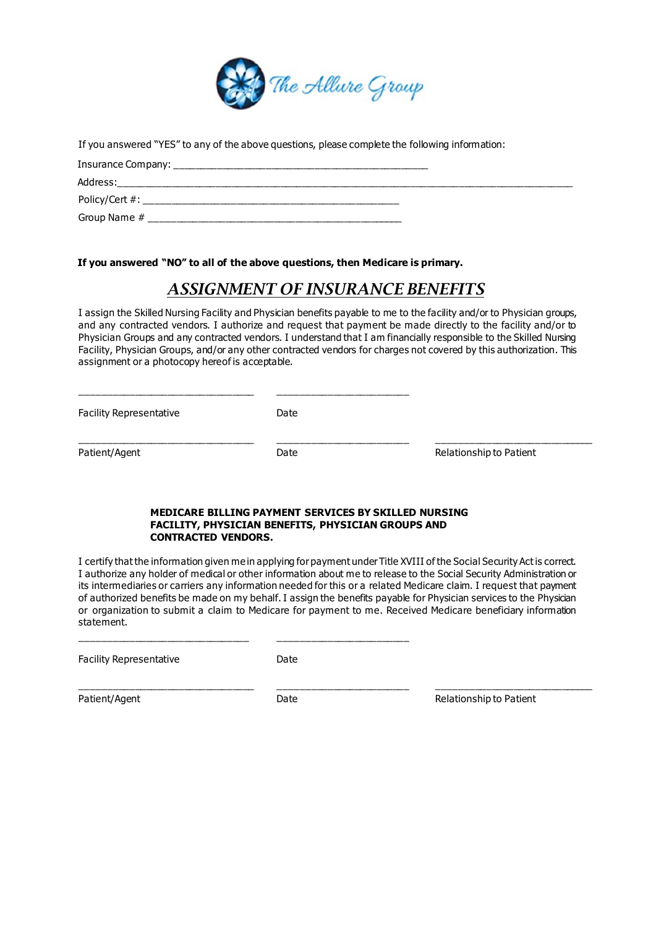

If you answered "YES" to any of the above questions, please complete the following information:

| Insurance Company: ______ |
|---------------------------|
| Address:                  |
| Policy/Cert #:            |
| Group Name #              |

**If you answered "NO" to all of the above questions, then Medicare is primary.**

# *ASSIGNMENT OF INSURANCE BENEFITS*

I assign the Skilled Nursing Facility and Physician benefits payable to me to the facility and/or to Physician groups, and any contracted vendors. I authorize and request that payment be made directly to the facility and/or to Physician Groups and any contracted vendors. I understand that I am financially responsible to the Skilled Nursing Facility, Physician Groups, and/or any other contracted vendors for charges not covered by this authorization. This assignment or a photocopy hereof is acceptable.

Facility Representative **Date** 

\_\_\_\_\_\_\_\_\_\_\_\_\_\_\_\_\_\_\_\_\_\_\_\_\_\_\_\_\_\_\_\_ \_\_\_\_\_\_\_\_\_\_\_\_\_\_\_\_\_\_\_\_\_\_\_\_

\_\_\_\_\_\_\_\_\_\_\_\_\_\_\_\_\_\_\_\_\_\_\_\_\_\_\_\_\_\_\_\_ \_\_\_\_\_\_\_\_\_\_\_\_\_\_\_\_\_\_\_\_\_\_\_\_ \_\_\_\_\_\_\_\_\_\_\_\_\_\_\_\_\_\_\_\_\_\_\_\_\_\_\_\_\_ Patient/Agent **Date** Date **Date Relationship to Patient** 

#### **MEDICARE BILLING PAYMENT SERVICES BY SKILLED NURSING FACILITY, PHYSICIAN BENEFITS, PHYSICIAN GROUPS AND CONTRACTED VENDORS.**

I certify that the information given me in applying for payment under Title XVIII of the Social Security Act is correct. I authorize any holder of medical or other information about me to release to the Social Security Administration or its intermediaries or carriers any information needed for this or a related Medicare claim. I request that payment of authorized benefits be made on my behalf. I assign the benefits payable for Physician services to the Physician or organization to submit a claim to Medicare for payment to me. Received Medicare beneficiary information statement.

Facility Representative **Example 2** Date

\_\_\_\_\_\_\_\_\_\_\_\_\_\_\_\_\_\_\_\_\_\_\_\_\_\_\_\_\_\_\_ \_\_\_\_\_\_\_\_\_\_\_\_\_\_\_\_\_\_\_\_\_\_\_\_

\_\_\_\_\_\_\_\_\_\_\_\_\_\_\_\_\_\_\_\_\_\_\_\_\_\_\_\_\_\_\_\_ \_\_\_\_\_\_\_\_\_\_\_\_\_\_\_\_\_\_\_\_\_\_\_\_ \_\_\_\_\_\_\_\_\_\_\_\_\_\_\_\_\_\_\_\_\_\_\_\_\_\_\_\_\_ Patient/Agent **Date** Date **Date Relationship to Patient**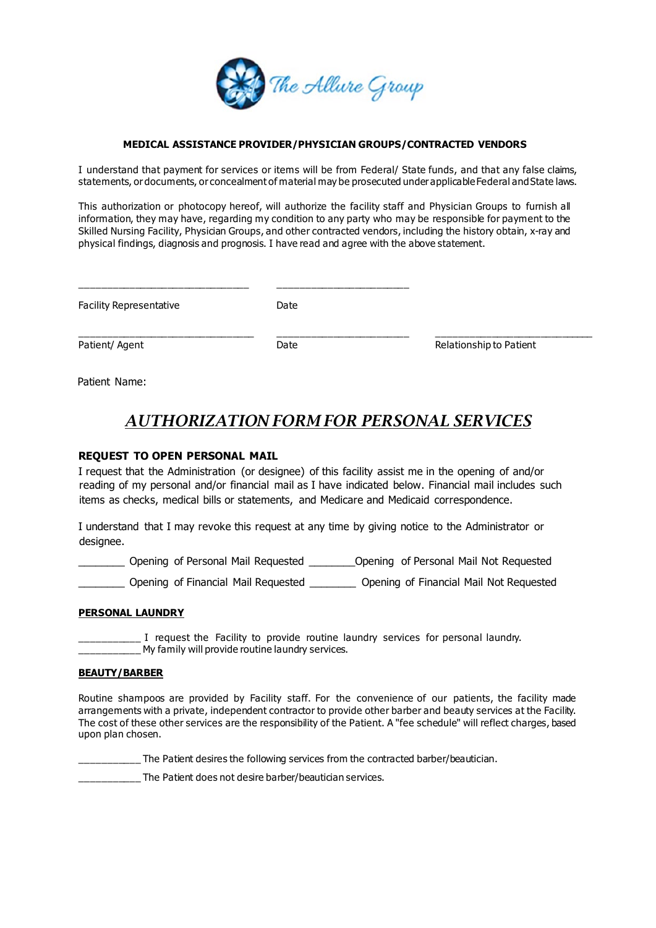

### **MEDICAL ASSISTANCE PROVIDER/PHYSICIAN GROUPS/CONTRACTED VENDORS**

I understand that payment for services or items will be from Federal/ State funds, and that any false claims, statements, or documents, or concealment of material may be prosecuted under applicable Federal and State laws.

This authorization or photocopy hereof, will authorize the facility staff and Physician Groups to furnish all information, they may have, regarding my condition to any party who may be responsible for payment to the Skilled Nursing Facility, Physician Groups, and other contracted vendors, including the history obtain, x-ray and physical findings, diagnosis and prognosis. I have read and agree with the above statement.

| <b>Facility Representative</b> | Date |                         |
|--------------------------------|------|-------------------------|
| Patient/ Agent                 | Date | Relationship to Patient |

Patient Name:

# *AUTHORIZATION FORM FOR PERSONAL SERVICES*

## **REQUEST TO OPEN PERSONAL MAIL**

I request that the Administration (or designee) of this facility assist me in the opening of and/or reading of my personal and/or financial mail as I have indicated below. Financial mail includes such items as checks, medical bills or statements, and Medicare and Medicaid correspondence.

I understand that I may revoke this request at any time by giving notice to the Administrator or designee.

\_\_\_\_\_\_\_\_ Opening of Personal Mail Requested \_\_\_\_\_\_\_\_Opening of Personal Mail Not Requested

\_\_\_\_\_\_\_\_ Opening of Financial Mail Requested \_\_\_\_\_\_\_\_ Opening of Financial Mail Not Requested

## **PERSONAL LAUNDRY**

\_\_\_\_ I request the Facility to provide routine laundry services for personal laundry. My family will provide routine laundry services.

### **BEAUTY/BARBER**

Routine shampoos are provided by Facility staff. For the convenience of our patients, the facility made arrangements with a private, independent contractor to provide other barber and beauty services at the Facility. The cost of these other services are the responsibility of the Patient. A "fee schedule" will reflect charges, based upon plan chosen.

\_\_\_\_\_\_\_\_\_ The Patient desires the following services from the contracted barber/beautician.

\_\_\_\_\_\_\_ The Patient does not desire barber/beautician services.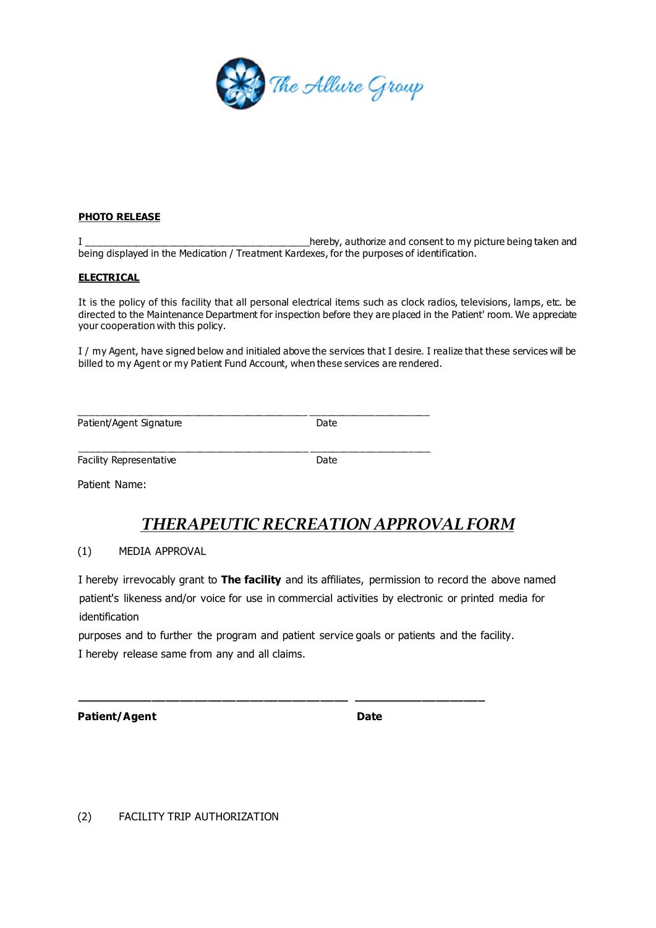

### **PHOTO RELEASE**

I \_\_\_\_\_\_\_\_\_\_\_\_\_\_\_\_\_\_\_\_\_\_\_\_\_\_\_\_\_\_\_\_\_\_\_\_\_\_\_\_\_hereby, authorize and consent to my picture being taken and being displayed in the Medication / Treatment Kardexes, for the purposes of identification.

### **ELECTRICAL**

It is the policy of this facility that all personal electrical items such as clock radios, televisions, lamps, etc. be directed to the Maintenance Department for inspection before they are placed in the Patient' room. We appreciate your cooperation with this policy.

I / my Agent, have signed below and initialed above the services that I desire. I realize that these services will be billed to my Agent or my Patient Fund Account, when these services are rendered.

| Patient/Agent Signature | Date |
|-------------------------|------|

\_\_\_\_\_\_\_\_\_\_\_\_\_\_\_\_\_\_\_\_\_\_\_\_\_\_\_\_\_\_\_\_\_\_\_\_\_\_\_\_\_\_ \_\_\_\_\_\_\_\_\_\_\_\_\_\_\_\_\_\_\_\_\_\_ Facility Representative **Date** 

Patient Name:

# *THERAPEUTIC RECREATION APPROVAL FORM*

### (1) MEDIA APPROVAL

I hereby irrevocably grant to **The facility** and its affiliates, permission to record the above named patient's likeness and/or voice for use in commercial activities by electronic or printed media for identification

purposes and to further the program and patient service goals or patients and the facility. I hereby release same from any and all claims.

**\_\_\_\_\_\_\_\_\_\_\_\_\_\_\_\_\_\_\_\_\_\_\_\_\_\_\_\_\_\_\_\_\_\_\_\_\_\_\_ \_\_\_\_\_\_\_\_\_\_\_\_\_\_\_\_\_\_\_**

Patient/Agent **Date** 

(2) FACILITY TRIP AUTHORIZATION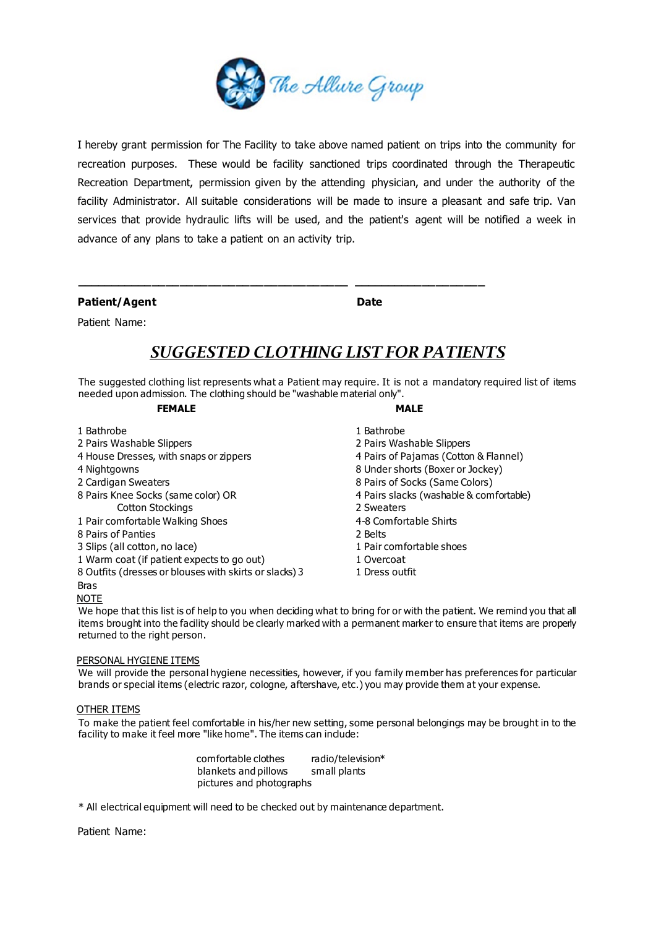

I hereby grant permission for The Facility to take above named patient on trips into the community for recreation purposes. These would be facility sanctioned trips coordinated through the Therapeutic Recreation Department, permission given by the attending physician, and under the authority of the facility Administrator. All suitable considerations will be made to insure a pleasant and safe trip. Van services that provide hydraulic lifts will be used, and the patient's agent will be notified a week in advance of any plans to take a patient on an activity trip.

Patient/Agent **Date** 

# Patient Name:

# *SUGGESTED CLOTHING LIST FOR PATIENTS*

**\_\_\_\_\_\_\_\_\_\_\_\_\_\_\_\_\_\_\_\_\_\_\_\_\_\_\_\_\_\_\_\_\_\_\_\_\_\_\_ \_\_\_\_\_\_\_\_\_\_\_\_\_\_\_\_\_\_\_**

The suggested clothing list represents what a Patient may require. It is not a mandatory required list of items needed upon admission. The clothing should be "washable material only".

### **FEMALE** MALE

- 1 Bathrobe 1 Bathrobe
- 2 Pairs Washable Slippers 2 Pairs Washable Slippers
- 4 House Dresses, with snaps or zippers 4 Pairs of Pajamas (Cotton & Flannel)
- 4 Nightgowns 8 Under shorts (Boxer or Jockey)
- 2 Cardigan Sweaters **8 Pairs of Socks (Same Colors)**
- 8 Pairs Knee Socks (same color) OR 4 Pairs slacks (washable & comfortable) Cotton Stockings 2 Sweaters
- 1 Pair comfortable Walking Shoes
- 8 Pairs of Panties 2 Belts
- 3 Slips (all cotton, no lace) 1 Pair comfortable shoes
- 1 Warm coat (if patient expects to go out) 1 Overcoat
- 8 Outfits (dresses or blouses with skirts or slacks) 3

# Bras

NOTE

We hope that this list is of help to you when deciding what to bring for or with the patient. We remind you that all items brought into the facility should be clearly marked with a permanent marker to ensure that items are properly returned to the right person.

1 Dress outfit

### PERSONAL HYGIENE ITEMS

We will provide the personal hygiene necessities, however, if you family member has preferences for particular brands or special items (electric razor, cologne, aftershave, etc.) you may provide them at your expense.

#### OTHER ITEMS

To make the patient feel comfortable in his/her new setting, some personal belongings may be brought in to the facility to make it feel more "like home". The items can include:

| comfortable clothes      | radio/television* |
|--------------------------|-------------------|
| blankets and pillows     | small plants      |
| pictures and photographs |                   |

\* All electrical equipment will need to be checked out by maintenance department.

Patient Name: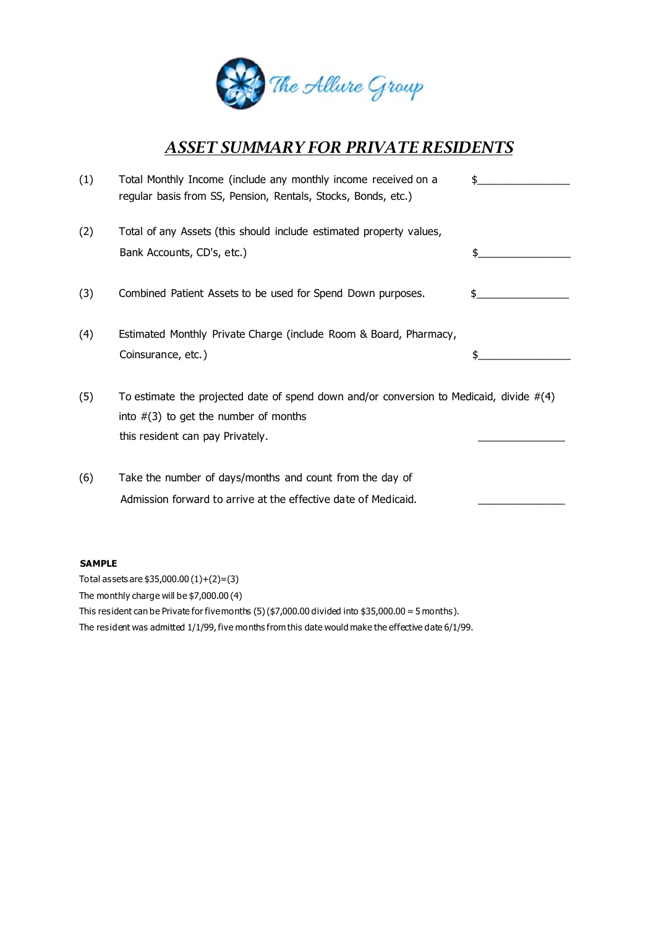

# *ASSET SUMMARY FOR PRIVATE RESIDENTS*

| (1)           | Total Monthly Income (include any monthly income received on a<br>regular basis from SS, Pension, Rentals, Stocks, Bonds, etc.)                                           | \$  |
|---------------|---------------------------------------------------------------------------------------------------------------------------------------------------------------------------|-----|
| (2)           | Total of any Assets (this should include estimated property values,<br>Bank Accounts, CD's, etc.)                                                                         | \$. |
| (3)           | Combined Patient Assets to be used for Spend Down purposes.                                                                                                               |     |
| (4)           | Estimated Monthly Private Charge (include Room & Board, Pharmacy,<br>Coinsurance, etc.)                                                                                   |     |
| (5)           | To estimate the projected date of spend down and/or conversion to Medicaid, divide $#(4)$<br>into $\#(3)$ to get the number of months<br>this resident can pay Privately. |     |
| (6)           | Take the number of days/months and count from the day of<br>Admission forward to arrive at the effective date of Medicaid.                                                |     |
| <b>SAMPLE</b> | Total assets are $$35,000.00(1)+(2)=(3)$                                                                                                                                  |     |

The monthly charge will be \$7,000.00 (4) This resident can be Private for five months  $(5)(\frac{2}{7},000.00 \text{ divided into } \frac{2}{3}5,000.00 = 5 \text{ months}).$ The resident was admitted 1/1/99, five months from this date would make the effective date 6/1/99.